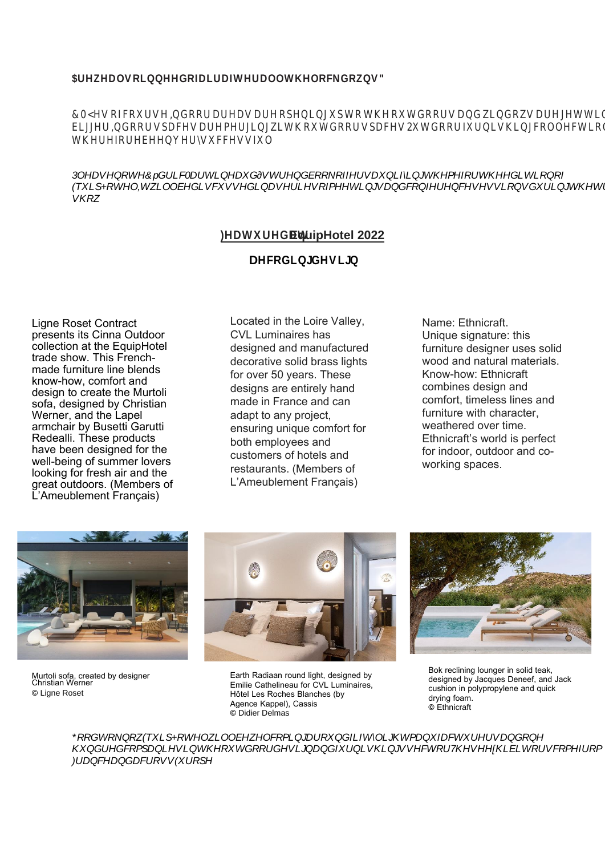**EquipHotel 2022**

# **DHFRG@HVD**

### **Getting some air**

Ligne Roset Contract presents its Cinna Outdoor collection at the EquipHotel trade show. This Frenchmade furniture line blends know-how, comfort and design to create the Murtoli sofa, designed by Christian Werner, and the Lapel armchair by Busetti Garutti Redealli. These products have been designed for the well-being of summer lovers looking for fresh air and the great outdoors. (Members of L'Ameublement Français)

### **Brighten up your world**

Located in the Loire Valley, CVL Luminaires has designed and manufactured decorative solid brass lights for over 50 years. These designs are entirely hand made in France and can adapt to any project, ensuring unique comfort for both employees and customers of hotels and restaurants. (Members of L'Ameublement Français)

# **Nature in all its glory**

Name: Ethnicraft. Unique signature: this furniture designer uses solid wood and natural materials. Know-how: Ethnicraft combines design and comfort, timeless lines and furniture with character, weathered over time. Ethnicraft's world is perfect for indoor, outdoor and coworking spaces.



Murtoli sofa, created by designer Christian Werner **©** Ligne Roset



Earth Radiaan round light, designed by Emilie Cathelineau for CVL Luminaires, Hôtel Les Roches Blanches (by Agence Kappel), Cassis **©** Didier Delmas



Bok reclining lounger in solid teak, designed by Jacques Deneef, and Jack cushion in polypropylene and quick drying foam. **©** Ethnicraft

RRGWRNQZXLSRWHOZOOEHZOFRPLODURXQILIWOLJWPDQIDFWXUHUVDQRQ KQUHGFRPSDQHVLQVKRXWGRRUGHVLJQQIXUQVKQVVHFWRU7KVHHKELWRUVFRPHIURP )UDQFHDQGDFURVV(XURSH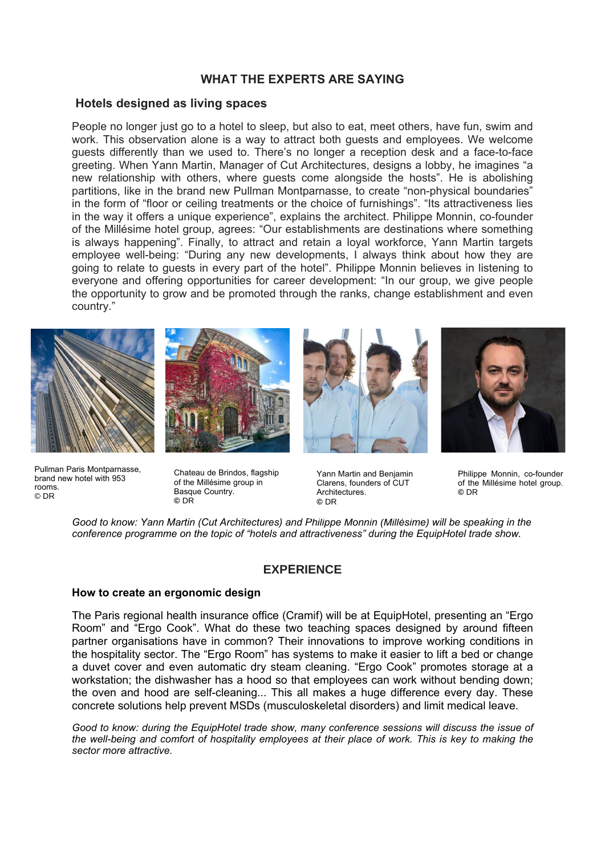# **WHAT THE EXPERTS ARE SAYING**

### **Hotels designed as living spaces**

People no longer just go to a hotel to sleep, but also to eat, meet others, have fun, swim and work. This observation alone is a way to attract both guests and employees. We welcome guests differently than we used to. There's no longer a reception desk and a face-to-face greeting. When Yann Martin, Manager of Cut Architectures, designs a lobby, he imagines "a new relationship with others, where guests come alongside the hosts". He is abolishing partitions, like in the brand new Pullman Montparnasse, to create "non-physical boundaries" in the form of "floor or ceiling treatments or the choice of furnishings". "Its attractiveness lies in the way it offers a unique experience", explains the architect. Philippe Monnin, co-founder of the Millésime hotel group, agrees: "Our establishments are destinations where something is always happening". Finally, to attract and retain a loyal workforce, Yann Martin targets employee well-being: "During any new developments, I always think about how they are going to relate to guests in every part of the hotel". Philippe Monnin believes in listening to everyone and offering opportunities for career development: "In our group, we give people the opportunity to grow and be promoted through the ranks, change establishment and even country."









Pullman Paris Montparnasse, brand new hotel with 953 rooms. © DR

Chateau de Brindos, flagship of the Millésime group in Basque Country. **©** DR

Yann Martin and Benjamin Clarens, founders of CUT **Architectures ©** DR

Philippe Monnin, co-founder of the Millésime hotel group. **©** DR

*Good to know: Yann Martin (Cut Architectures) and Philippe Monnin (Millésime) will be speaking in the conference programme on the topic of "hotels and attractiveness" during the EquipHotel trade show.*

### **EXPERIENCE**

#### **How to create an ergonomic design**

The Paris regional health insurance office (Cramif) will be at EquipHotel, presenting an "Ergo Room" and "Ergo Cook". What do these two teaching spaces designed by around fifteen partner organisations have in common? Their innovations to improve working conditions in the hospitality sector. The "Ergo Room" has systems to make it easier to lift a bed or change a duvet cover and even automatic dry steam cleaning. "Ergo Cook" promotes storage at a workstation; the dishwasher has a hood so that employees can work without bending down; the oven and hood are self-cleaning... This all makes a huge difference every day. These concrete solutions help prevent MSDs (musculoskeletal disorders) and limit medical leave.

*Good to know: during the EquipHotel trade show, many conference sessions will discuss the issue of the well-being and comfort of hospitality employees at their place of work. This is key to making the sector more attractive.*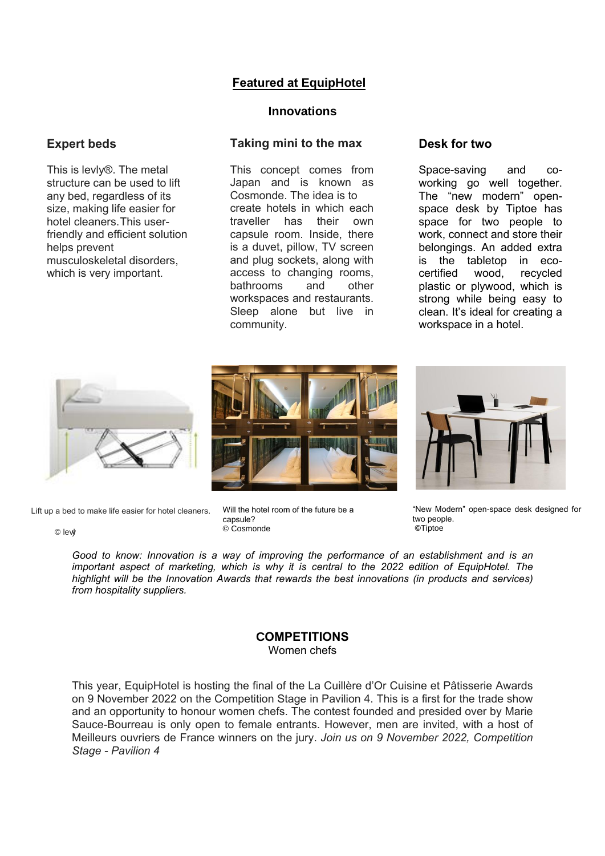# **Featured at EquipHotel**

### **Innovations**

# **Taking mini to the max**

This concept comes from Japan and is known as Cosmonde. The idea is to create hotels in which each traveller has their own capsule room. Inside, there is a duvet, pillow, TV screen and plug sockets, along with access to changing rooms, bathrooms and other workspaces and restaurants. Sleep alone but live in community.

### **Desk for two**

Space-saving and coworking go well together. The "new modern" openspace desk by Tiptoe has space for two people to work, connect and store their belongings. An added extra is the tabletop in ecocertified wood, recycled plastic or plywood, which is strong while being easy to clean. It's ideal for creating a workspace in a hotel.



Lift up a bed to make life easier for hotel cleaners.

© levy l

**Expert beds**

helps prevent

This is levly®. The metal structure can be used to lift any bed, regardless of its size, making life easier for hotel cleaners. This userfriendly and efficient solution

musculoskeletal disorders, which is very important.





"New Modern" open-space desk designed for two people. **©**Tiptoe

*Good to know: Innovation is a way of improving the performance of an establishment and is an important aspect of marketing, which is why it is central to the 2022 edition of EquipHotel. The highlight will be the Innovation Awards that rewards the best innovations (in products and services) from hospitality suppliers.*

Will the hotel room of the future be a

capsule? © Cosmonde

### **COMPETITIONS** Women chefs

This year, EquipHotel is hosting the final of the La Cuillère d'Or Cuisine et Pâtisserie Awards on 9 November 2022 on the Competition Stage in Pavilion 4. This is a first for the trade show and an opportunity to honour women chefs. The contest founded and presided over by Marie Sauce-Bourreau is only open to female entrants. However, men are invited, with a host of Meilleurs ouvriers de France winners on the jury. *Join us on 9 November 2022, Competition Stage - Pavilion 4*